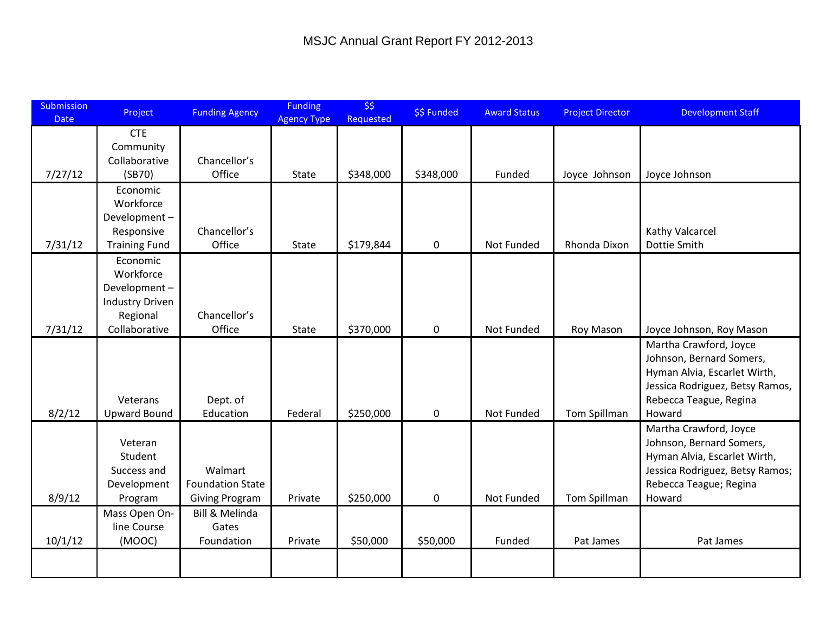| Submission<br><b>Date</b> | Project                                | <b>Funding Agency</b>   | <b>Funding</b><br><b>Agency Type</b> | \$5<br>Requested | \$\$ Funded | <b>Award Status</b> | <b>Project Director</b> | <b>Development Staff</b>         |
|---------------------------|----------------------------------------|-------------------------|--------------------------------------|------------------|-------------|---------------------|-------------------------|----------------------------------|
|                           | <b>CTE</b>                             |                         |                                      |                  |             |                     |                         |                                  |
|                           | Community                              | Chancellor's            |                                      |                  |             |                     |                         |                                  |
| 7/27/12                   | Collaborative<br>(SB70)                | Office                  | <b>State</b>                         | \$348,000        | \$348,000   | Funded              | Joyce Johnson           | Joyce Johnson                    |
|                           | Economic                               |                         |                                      |                  |             |                     |                         |                                  |
|                           | Workforce                              |                         |                                      |                  |             |                     |                         |                                  |
|                           | Development-                           |                         |                                      |                  |             |                     |                         |                                  |
|                           | Responsive                             | Chancellor's            |                                      |                  |             |                     |                         | Kathy Valcarcel                  |
| 7/31/12                   | <b>Training Fund</b>                   | Office                  | <b>State</b>                         | \$179,844        | $\pmb{0}$   | Not Funded          | Rhonda Dixon            | Dottie Smith                     |
|                           | Economic                               |                         |                                      |                  |             |                     |                         |                                  |
|                           | Workforce                              |                         |                                      |                  |             |                     |                         |                                  |
|                           | Development-<br><b>Industry Driven</b> |                         |                                      |                  |             |                     |                         |                                  |
|                           | Regional                               | Chancellor's            |                                      |                  |             |                     |                         |                                  |
| 7/31/12                   | Collaborative                          | Office                  | State                                | \$370,000        | $\pmb{0}$   | Not Funded          | Roy Mason               | Joyce Johnson, Roy Mason         |
|                           |                                        |                         |                                      |                  |             |                     |                         | Martha Crawford, Joyce           |
|                           |                                        |                         |                                      |                  |             |                     |                         | Johnson, Bernard Somers,         |
|                           |                                        |                         |                                      |                  |             |                     |                         | Hyman Alvia, Escarlet Wirth,     |
|                           |                                        |                         |                                      |                  |             |                     |                         | Jessica Rodriguez, Betsy Ramos,  |
| 8/2/12                    | Veterans<br><b>Upward Bound</b>        | Dept. of<br>Education   | Federal                              | \$250,000        | $\pmb{0}$   | Not Funded          | Tom Spillman            | Rebecca Teague, Regina<br>Howard |
|                           |                                        |                         |                                      |                  |             |                     |                         | Martha Crawford, Joyce           |
|                           | Veteran                                |                         |                                      |                  |             |                     |                         | Johnson, Bernard Somers,         |
|                           | Student                                |                         |                                      |                  |             |                     |                         | Hyman Alvia, Escarlet Wirth,     |
|                           | Success and                            | Walmart                 |                                      |                  |             |                     |                         | Jessica Rodriguez, Betsy Ramos;  |
|                           | Development                            | <b>Foundation State</b> |                                      |                  |             |                     |                         | Rebecca Teague; Regina           |
| 8/9/12                    | Program                                | <b>Giving Program</b>   | Private                              | \$250,000        | $\mathbf 0$ | Not Funded          | Tom Spillman            | Howard                           |
|                           | Mass Open On-                          | Bill & Melinda          |                                      |                  |             |                     |                         |                                  |
|                           | line Course                            | Gates                   |                                      |                  |             |                     |                         |                                  |
| 10/1/12                   | (MOOC)                                 | Foundation              | Private                              | \$50,000         | \$50,000    | Funded              | Pat James               | Pat James                        |
|                           |                                        |                         |                                      |                  |             |                     |                         |                                  |